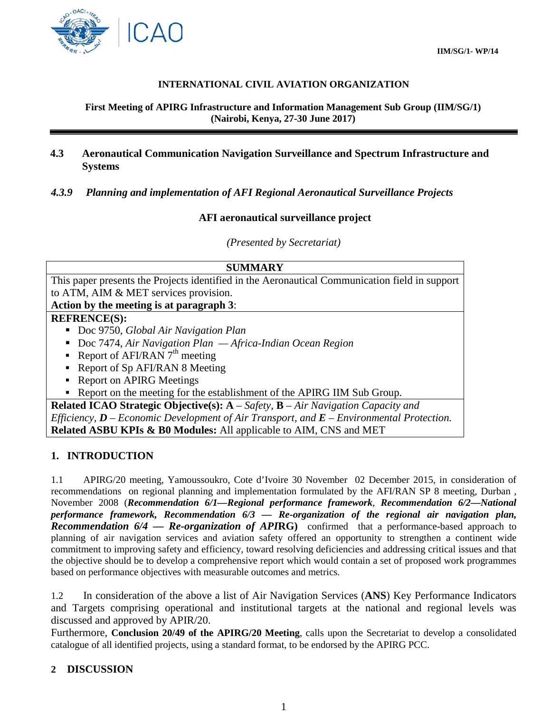

## **INTERNATIONAL CIVIL AVIATION ORGANIZATION**

#### **First Meeting of APIRG Infrastructure and Information Management Sub Group (IIM/SG/1) (Nairobi, Kenya, 27-30 June 2017)**

## **4.3 Aeronautical Communication Navigation Surveillance and Spectrum Infrastructure and Systems**

## *4.3.9 Planning and implementation of AFI Regional Aeronautical Surveillance Projects*

## **AFI aeronautical surveillance project**

*(Presented by Secretariat)*

| <b>SUMMARY</b>                                                                                  |
|-------------------------------------------------------------------------------------------------|
| This paper presents the Projects identified in the Aeronautical Communication field in support  |
| to ATM, AIM & MET services provision.                                                           |
| Action by the meeting is at paragraph 3:                                                        |
| <b>REFRENCE(S):</b>                                                                             |
| Doc 9750, Global Air Navigation Plan                                                            |
| Doc 7474, Air Navigation Plan - Africa-Indian Ocean Region                                      |
| Report of AFI/RAN $7th$ meeting                                                                 |
| • Report of Sp AFI/RAN 8 Meeting                                                                |
| • Report on APIRG Meetings                                                                      |
| Report on the meeting for the establishment of the APIRG IIM Sub Group.                         |
| <b>Related ICAO Strategic Objective(s):</b> $A - Safety$ , $B - Air\ Navigation\ Capacity\ and$ |
| Efficiency, $D$ – Economic Development of Air Transport, and $E$ – Environmental Protection.    |
| <b>Related ASBU KPIs &amp; B0 Modules:</b> All applicable to AIM, CNS and MET                   |

# **1. INTRODUCTION**

1.1 APIRG/20 meeting, Yamoussoukro, Cote d'Ivoire 30 November 02 December 2015, in consideration of recommendations on regional planning and implementation formulated by the AFI/RAN SP 8 meeting, Durban , November 2008 (*Recommendation 6/1—Regional performance framework*, *Recommendation 6/2—National performance framework, Recommendation 6/3 — Re-organization of the regional air navigation plan, Recommendation 6/4 — Re-organization of API***RG)** confirmed that a performance-based approach to planning of air navigation services and aviation safety offered an opportunity to strengthen a continent wide commitment to improving safety and efficiency, toward resolving deficiencies and addressing critical issues and that the objective should be to develop a comprehensive report which would contain a set of proposed work programmes based on performance objectives with measurable outcomes and metrics.

1.2 In consideration of the above a list of Air Navigation Services (**ANS**) Key Performance Indicators and Targets comprising operational and institutional targets at the national and regional levels was discussed and approved by APIR/20.

Furthermore, **Conclusion 20/49 of the APIRG/20 Meeting**, calls upon the Secretariat to develop a consolidated catalogue of all identified projects, using a standard format, to be endorsed by the APIRG PCC.

## **2 DISCUSSION**